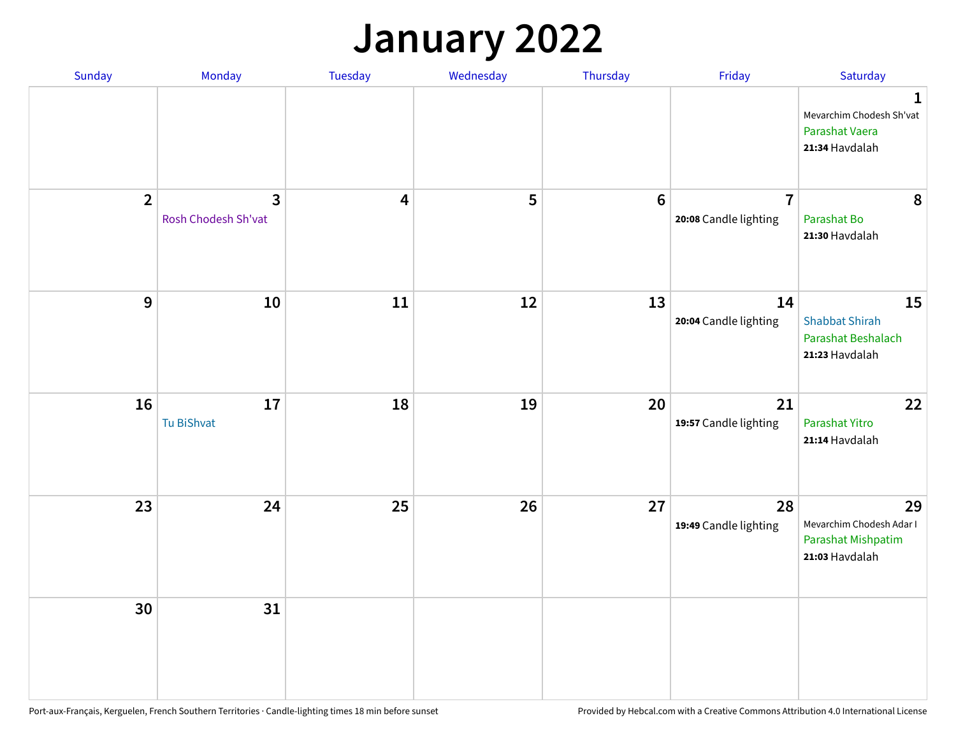## **January 2022**

| Sunday         | Monday                              | Tuesday                 | Wednesday | Thursday        | Friday                                  | Saturday                                                                     |
|----------------|-------------------------------------|-------------------------|-----------|-----------------|-----------------------------------------|------------------------------------------------------------------------------|
|                |                                     |                         |           |                 |                                         | $\mathbf{1}$<br>Mevarchim Chodesh Sh'vat<br>Parashat Vaera<br>21:34 Havdalah |
| $\overline{2}$ | $\mathbf{3}$<br>Rosh Chodesh Sh'vat | $\overline{\mathbf{4}}$ | 5         | $6\phantom{1}6$ | $\overline{7}$<br>20:08 Candle lighting | 8<br>Parashat Bo<br>21:30 Havdalah                                           |
| 9              | 10                                  | 11                      | 12        | 13              | 14<br>20:04 Candle lighting             | 15<br><b>Shabbat Shirah</b><br>Parashat Beshalach<br>21:23 Havdalah          |
| 16             | 17<br>Tu BiShvat                    | 18                      | 19        | 20              | 21<br>19:57 Candle lighting             | 22<br>Parashat Yitro<br>21:14 Havdalah                                       |
| 23             | 24                                  | 25                      | 26        | 27              | 28<br>19:49 Candle lighting             | 29<br>Mevarchim Chodesh Adar I<br>Parashat Mishpatim<br>21:03 Havdalah       |
| 30             | 31                                  |                         |           |                 |                                         |                                                                              |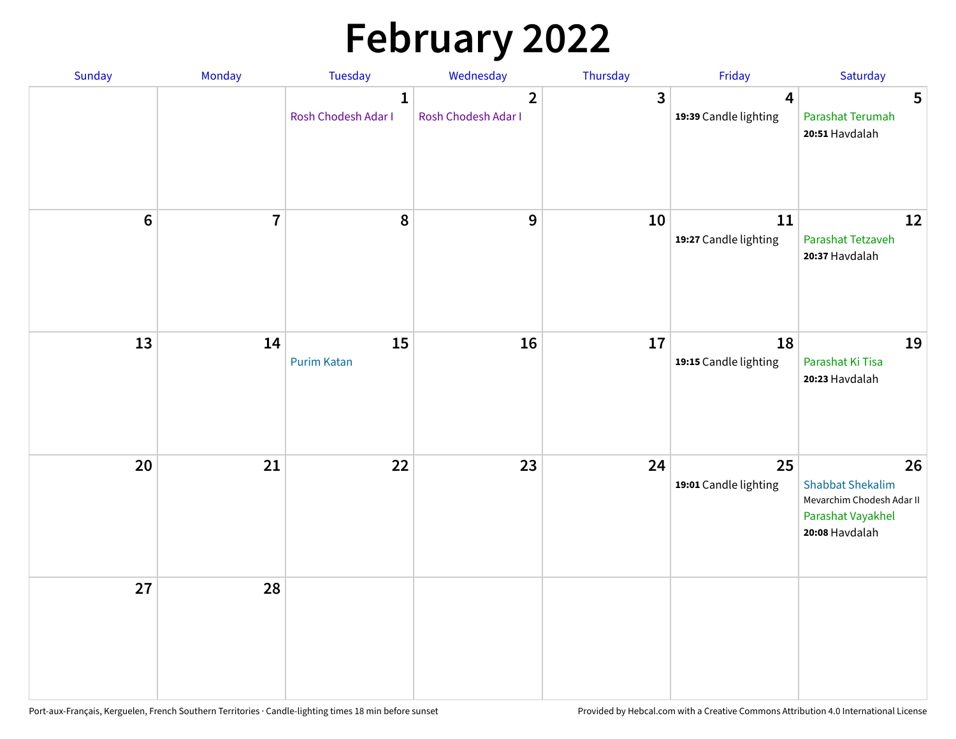# **February 2022**

| Sunday           | Monday         | Tuesday                             | Wednesday                             | Thursday | Friday                                           | Saturday                                                                                          |
|------------------|----------------|-------------------------------------|---------------------------------------|----------|--------------------------------------------------|---------------------------------------------------------------------------------------------------|
|                  |                | $\mathbf{1}$<br>Rosh Chodesh Adar I | $\overline{2}$<br>Rosh Chodesh Adar I | 3        | $\overline{\mathbf{4}}$<br>19:39 Candle lighting | $5\phantom{.0}$<br>Parashat Terumah<br>20:51 Havdalah                                             |
| $\boldsymbol{6}$ | $\overline{7}$ | 8                                   | $\mathbf 9$                           | 10       | 11<br>19:27 Candle lighting                      | 12<br>Parashat Tetzaveh<br>20:37 Havdalah                                                         |
| 13               | 14             | 15<br><b>Purim Katan</b>            | 16                                    | 17       | 18<br>19:15 Candle lighting                      | 19<br>Parashat Ki Tisa<br>20:23 Havdalah                                                          |
| 20               | 21             | 22                                  | 23                                    | 24       | 25<br>19:01 Candle lighting                      | 26<br><b>Shabbat Shekalim</b><br>Mevarchim Chodesh Adar II<br>Parashat Vayakhel<br>20:08 Havdalah |
| 27               | 28             |                                     |                                       |          |                                                  |                                                                                                   |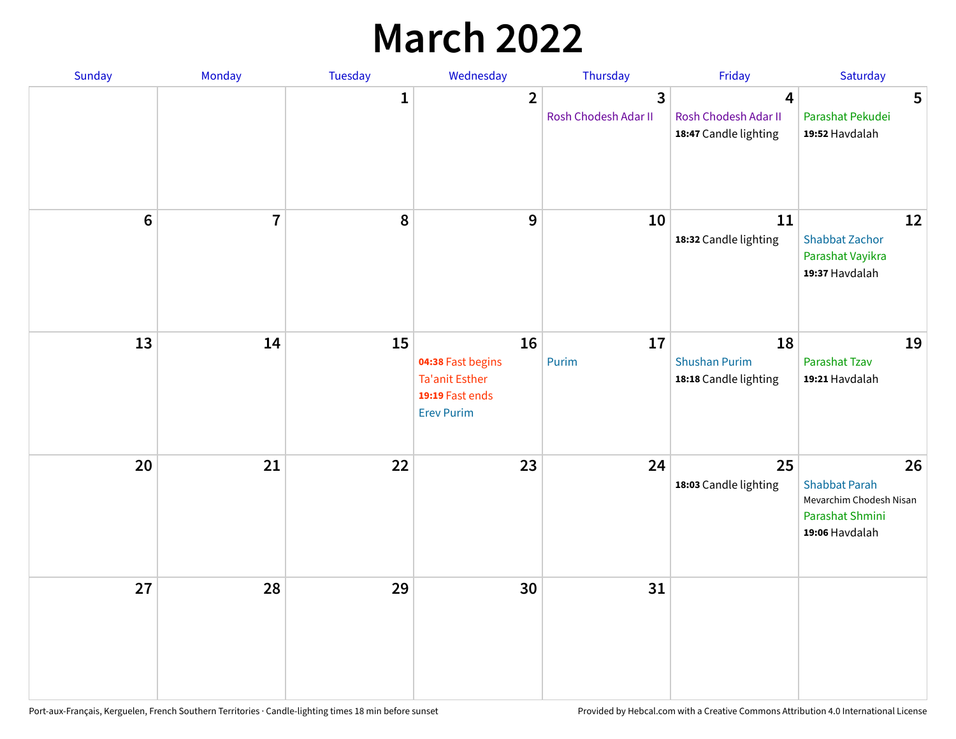## **March 2022**

| Sunday  | Monday         | Tuesday      | Wednesday                                                                                | Thursday                  | Friday                                              | Saturday                                                                                   |
|---------|----------------|--------------|------------------------------------------------------------------------------------------|---------------------------|-----------------------------------------------------|--------------------------------------------------------------------------------------------|
|         |                | $\mathbf{1}$ | $\overline{2}$                                                                           | 3<br>Rosh Chodesh Adar II | 4<br>Rosh Chodesh Adar II<br>18:47 Candle lighting  | 5<br>Parashat Pekudei<br>19:52 Havdalah                                                    |
| $\bf 6$ | $\overline{7}$ | 8            | 9                                                                                        | 10                        | 11<br>18:32 Candle lighting                         | 12<br><b>Shabbat Zachor</b><br>Parashat Vayikra<br>19:37 Havdalah                          |
| 13      | 14             | 15           | 16<br>04:38 Fast begins<br><b>Ta'anit Esther</b><br>19:19 Fast ends<br><b>Erev Purim</b> | 17<br>Purim               | 18<br><b>Shushan Purim</b><br>18:18 Candle lighting | 19<br>Parashat Tzav<br>19:21 Havdalah                                                      |
| 20      | 21             | 22           | 23                                                                                       | 24                        | 25<br>18:03 Candle lighting                         | 26<br><b>Shabbat Parah</b><br>Mevarchim Chodesh Nisan<br>Parashat Shmini<br>19:06 Havdalah |
| 27      | 28             | 29           | 30                                                                                       | 31                        |                                                     |                                                                                            |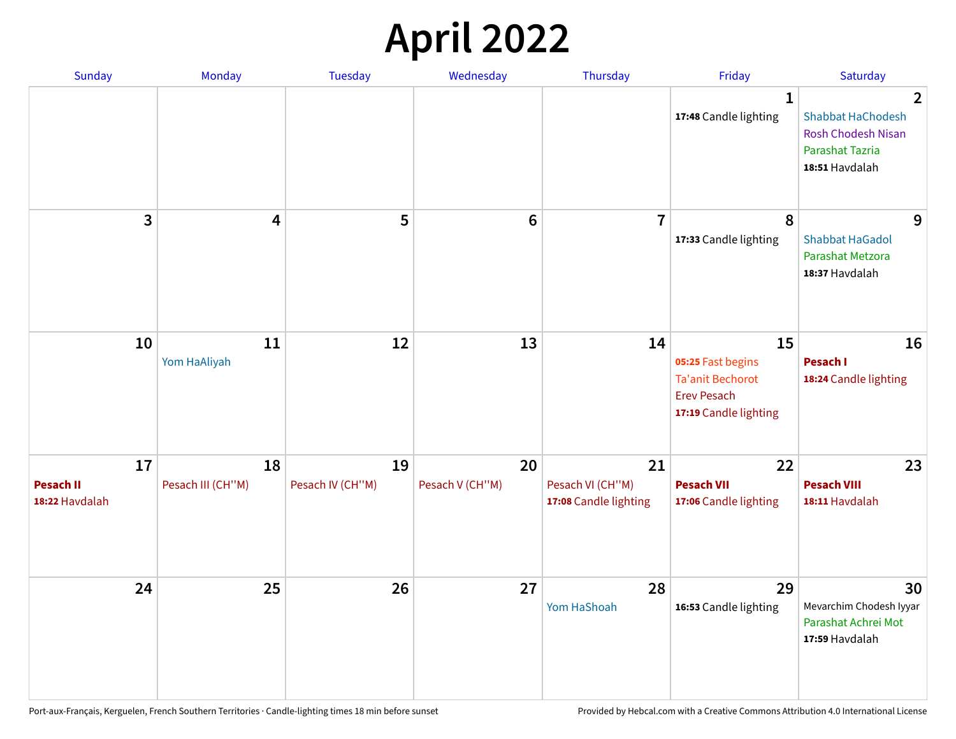# **April 2022**

| Sunday                                   | Monday                  | <b>Tuesday</b>         | Wednesday             | Thursday                                        | Friday                                                                                            | Saturday                                                                                            |
|------------------------------------------|-------------------------|------------------------|-----------------------|-------------------------------------------------|---------------------------------------------------------------------------------------------------|-----------------------------------------------------------------------------------------------------|
|                                          |                         |                        |                       |                                                 | $\mathbf{1}$<br>17:48 Candle lighting                                                             | $\mathbf{2}$<br><b>Shabbat HaChodesh</b><br>Rosh Chodesh Nisan<br>Parashat Tazria<br>18:51 Havdalah |
| 3                                        | 4                       | 5                      | $6\phantom{1}6$       | $\overline{7}$                                  | 8<br>17:33 Candle lighting                                                                        | 9<br><b>Shabbat HaGadol</b><br>Parashat Metzora<br>18:37 Havdalah                                   |
| 10                                       | 11<br>Yom HaAliyah      | 12                     | 13                    | 14                                              | 15<br>05:25 Fast begins<br><b>Ta'anit Bechorot</b><br><b>Erev Pesach</b><br>17:19 Candle lighting | 16<br>Pesach I<br>18:24 Candle lighting                                                             |
| 17<br><b>Pesach II</b><br>18:22 Havdalah | 18<br>Pesach III (CH"M) | 19<br>Pesach IV (CH"M) | 20<br>Pesach V (CH"M) | 21<br>Pesach VI (CH"M)<br>17:08 Candle lighting | 22<br><b>Pesach VII</b><br>17:06 Candle lighting                                                  | 23<br><b>Pesach VIII</b><br>18:11 Havdalah                                                          |
| 24                                       | 25                      | 26                     | 27                    | 28<br>Yom HaShoah                               | 29<br>16:53 Candle lighting                                                                       | 30<br>Mevarchim Chodesh Iyyar<br>Parashat Achrei Mot<br>17:59 Havdalah                              |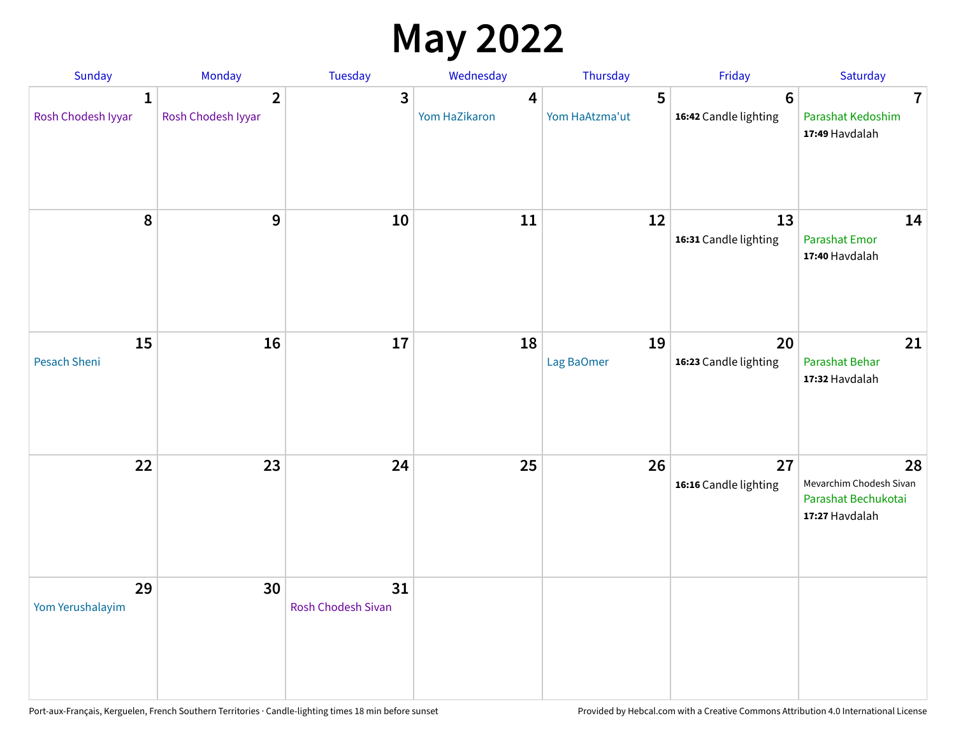## **May 2022**

| Sunday                  | Monday                               | Tuesday                         | Wednesday          | Thursday            | Friday                                  | Saturday                                                               |
|-------------------------|--------------------------------------|---------------------------------|--------------------|---------------------|-----------------------------------------|------------------------------------------------------------------------|
| 1<br>Rosh Chodesh Iyyar | $\overline{2}$<br>Rosh Chodesh Iyyar | 3                               | 4<br>Yom HaZikaron | 5<br>Yom HaAtzma'ut | $6\phantom{1}$<br>16:42 Candle lighting | $\overline{\mathbf{7}}$<br>Parashat Kedoshim<br>17:49 Havdalah         |
| 8                       | $\mathbf{9}$                         | 10                              | 11                 | 12                  | 13<br>16:31 Candle lighting             | 14<br>Parashat Emor<br>17:40 Havdalah                                  |
| 15<br>Pesach Sheni      | 16                                   | 17                              | 18                 | 19<br>Lag BaOmer    | 20<br>16:23 Candle lighting             | 21<br>Parashat Behar<br>17:32 Havdalah                                 |
| 22                      | 23                                   | 24                              | 25                 | 26                  | 27<br>16:16 Candle lighting             | 28<br>Mevarchim Chodesh Sivan<br>Parashat Bechukotai<br>17:27 Havdalah |
| 29<br>Yom Yerushalayim  | 30                                   | 31<br><b>Rosh Chodesh Sivan</b> |                    |                     |                                         |                                                                        |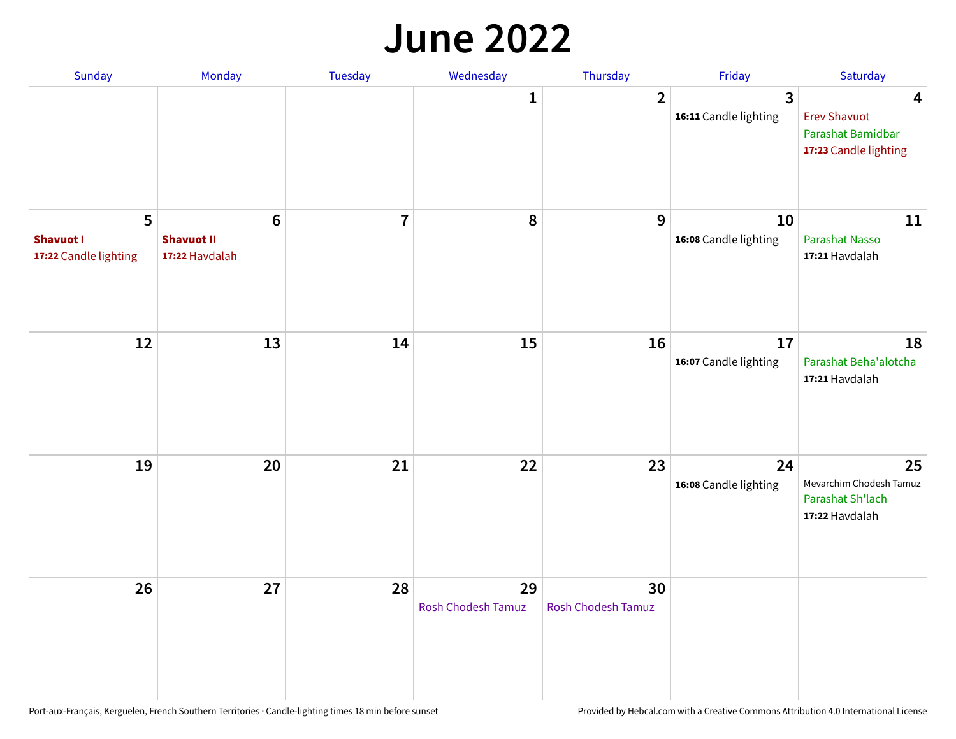#### **June 2022**

| Sunday                                         | Monday                                         | Tuesday        | Wednesday                       | Thursday                        | Friday                      | Saturday                                                               |
|------------------------------------------------|------------------------------------------------|----------------|---------------------------------|---------------------------------|-----------------------------|------------------------------------------------------------------------|
|                                                |                                                |                | 1                               | $\overline{2}$                  | 3<br>16:11 Candle lighting  | 4<br><b>Erev Shavuot</b><br>Parashat Bamidbar<br>17:23 Candle lighting |
| 5<br><b>Shavuot I</b><br>17:22 Candle lighting | $\bf 6$<br><b>Shavuot II</b><br>17:22 Havdalah | $\overline{7}$ | 8                               | 9                               | 10<br>16:08 Candle lighting | 11<br>Parashat Nasso<br>17:21 Havdalah                                 |
| 12                                             | 13                                             | 14             | 15                              | 16                              | 17<br>16:07 Candle lighting | 18<br>Parashat Beha'alotcha<br>17:21 Havdalah                          |
| 19                                             | 20                                             | 21             | 22                              | 23                              | 24<br>16:08 Candle lighting | 25<br>Mevarchim Chodesh Tamuz<br>Parashat Sh'lach<br>17:22 Havdalah    |
| 26                                             | 27                                             | 28             | 29<br><b>Rosh Chodesh Tamuz</b> | 30<br><b>Rosh Chodesh Tamuz</b> |                             |                                                                        |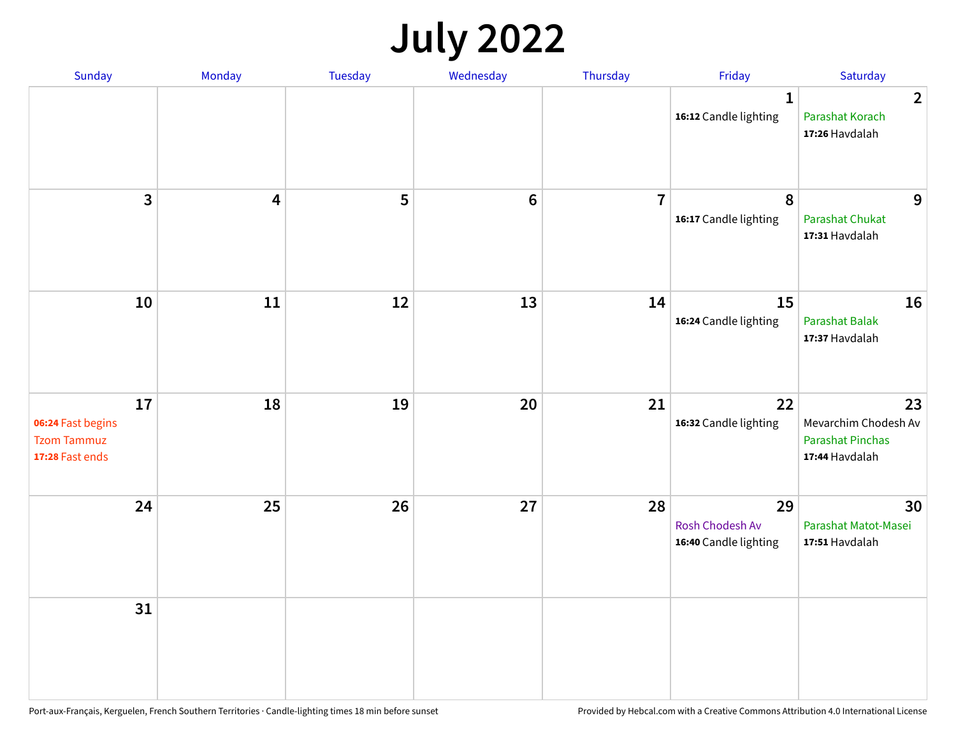## **July 2022**

| Sunday                                                           | Monday                  | Tuesday | Wednesday      | Thursday       | Friday                                         | Saturday                                                                |
|------------------------------------------------------------------|-------------------------|---------|----------------|----------------|------------------------------------------------|-------------------------------------------------------------------------|
|                                                                  |                         |         |                |                | $\mathbf{1}$<br>16:12 Candle lighting          | $\overline{2}$<br>Parashat Korach<br>17:26 Havdalah                     |
| $\mathbf{3}$                                                     | $\overline{\mathbf{4}}$ | 5       | $6\phantom{1}$ | $\overline{7}$ | $\boldsymbol{8}$<br>16:17 Candle lighting      | 9<br><b>Parashat Chukat</b><br>17:31 Havdalah                           |
| 10                                                               | 11                      | 12      | 13             | 14             | 15<br>16:24 Candle lighting                    | 16<br>Parashat Balak<br>17:37 Havdalah                                  |
| 17<br>06:24 Fast begins<br><b>Tzom Tammuz</b><br>17:28 Fast ends | 18                      | 19      | $20\,$         | 21             | 22<br>16:32 Candle lighting                    | 23<br>Mevarchim Chodesh Av<br><b>Parashat Pinchas</b><br>17:44 Havdalah |
| 24                                                               | 25                      | 26      | 27             | 28             | 29<br>Rosh Chodesh Av<br>16:40 Candle lighting | 30<br>Parashat Matot-Masei<br>17:51 Havdalah                            |
| 31                                                               |                         |         |                |                |                                                |                                                                         |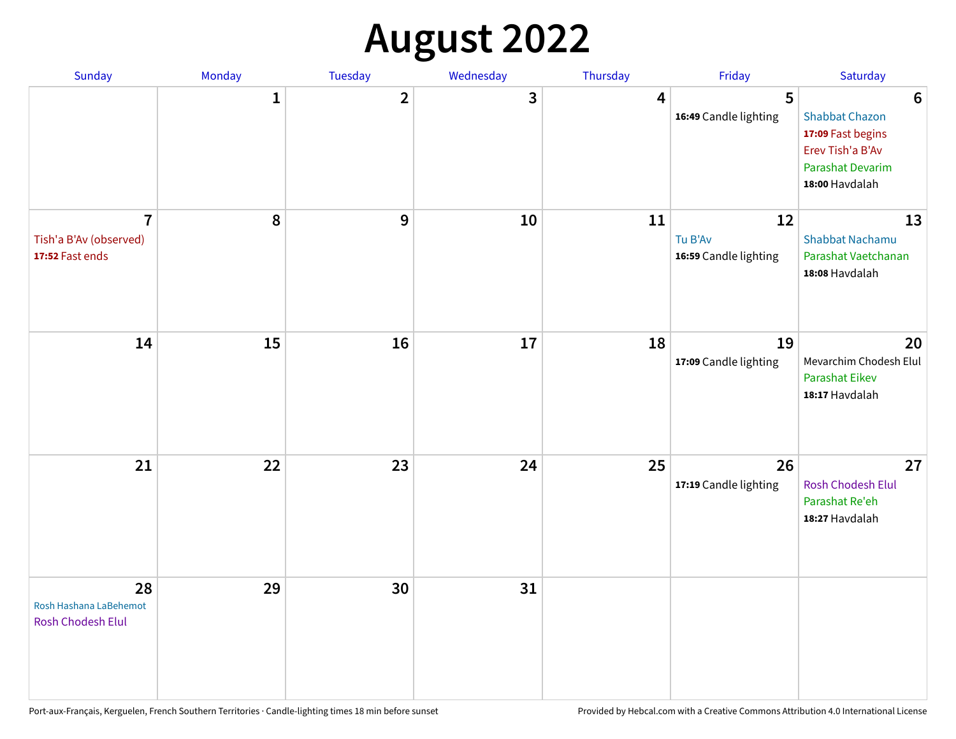## **August 2022**

| Sunday                                                      | Monday       | Tuesday      | Wednesday | Thursday | Friday                                 | Saturday                                                                                                                       |
|-------------------------------------------------------------|--------------|--------------|-----------|----------|----------------------------------------|--------------------------------------------------------------------------------------------------------------------------------|
|                                                             | $\mathbf{1}$ | $\mathbf{2}$ | 3         | 4        | 5<br>16:49 Candle lighting             | $6\phantom{1}6$<br><b>Shabbat Chazon</b><br>17:09 Fast begins<br>Erev Tish'a B'Av<br><b>Parashat Devarim</b><br>18:00 Havdalah |
| $\overline{7}$<br>Tish'a B'Av (observed)<br>17:52 Fast ends | $\pmb{8}$    | 9            | 10        | 11       | 12<br>Tu B'Av<br>16:59 Candle lighting | 13<br><b>Shabbat Nachamu</b><br>Parashat Vaetchanan<br>18:08 Havdalah                                                          |
| 14                                                          | 15           | 16           | 17        | 18       | 19<br>17:09 Candle lighting            | 20<br>Mevarchim Chodesh Elul<br>Parashat Eikev<br>18:17 Havdalah                                                               |
| 21                                                          | 22           | 23           | 24        | 25       | 26<br>17:19 Candle lighting            | 27<br>Rosh Chodesh Elul<br>Parashat Re'eh<br>18:27 Havdalah                                                                    |
| 28<br>Rosh Hashana LaBehemot<br>Rosh Chodesh Elul           | 29           | 30           | 31        |          |                                        |                                                                                                                                |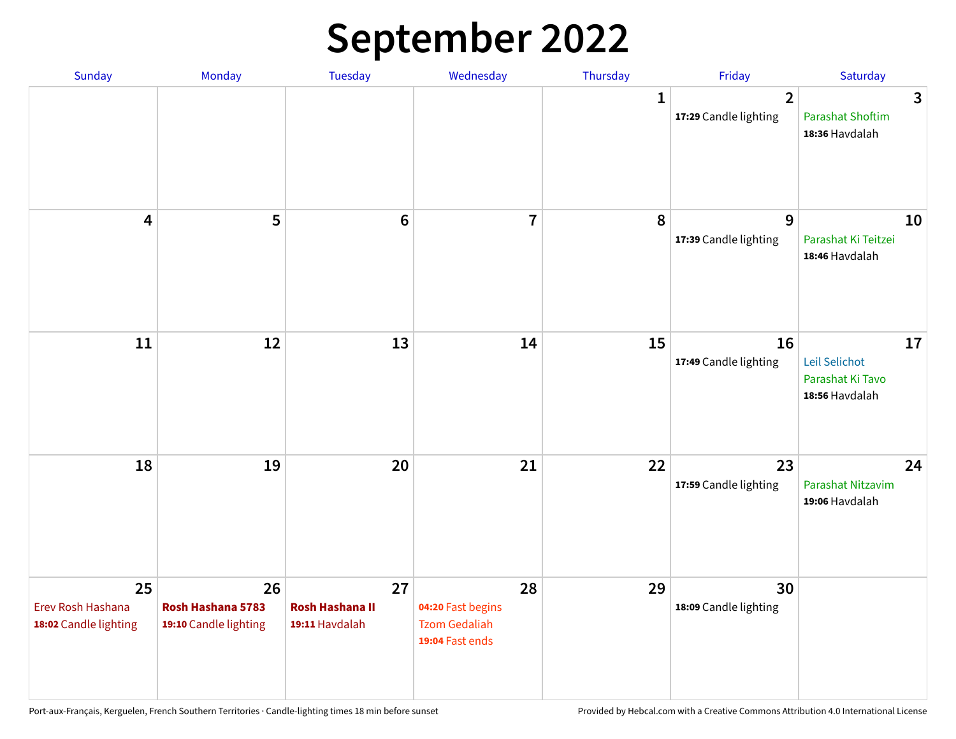## **September 2022**

| Sunday                                           | Monday                                           | <b>Tuesday</b>                                 | Wednesday                                                          | Thursday    | Friday                                  | Saturday                                                  |
|--------------------------------------------------|--------------------------------------------------|------------------------------------------------|--------------------------------------------------------------------|-------------|-----------------------------------------|-----------------------------------------------------------|
|                                                  |                                                  |                                                |                                                                    | $\mathbf 1$ | $\overline{2}$<br>17:29 Candle lighting | 3<br><b>Parashat Shoftim</b><br>18:36 Havdalah            |
| 4                                                | 5                                                | $6\phantom{1}6$                                | $\overline{\mathbf{7}}$                                            | 8           | 9<br>17:39 Candle lighting              | 10<br>Parashat Ki Teitzei<br>18:46 Havdalah               |
| 11                                               | 12                                               | 13                                             | 14                                                                 | 15          | 16<br>17:49 Candle lighting             | 17<br>Leil Selichot<br>Parashat Ki Tavo<br>18:56 Havdalah |
| 18                                               | 19                                               | 20                                             | 21                                                                 | 22          | 23<br>17:59 Candle lighting             | 24<br>Parashat Nitzavim<br>19:06 Havdalah                 |
| 25<br>Erev Rosh Hashana<br>18:02 Candle lighting | 26<br>Rosh Hashana 5783<br>19:10 Candle lighting | 27<br><b>Rosh Hashana II</b><br>19:11 Havdalah | 28<br>04:20 Fast begins<br><b>Tzom Gedaliah</b><br>19:04 Fast ends | 29          | 30<br>18:09 Candle lighting             |                                                           |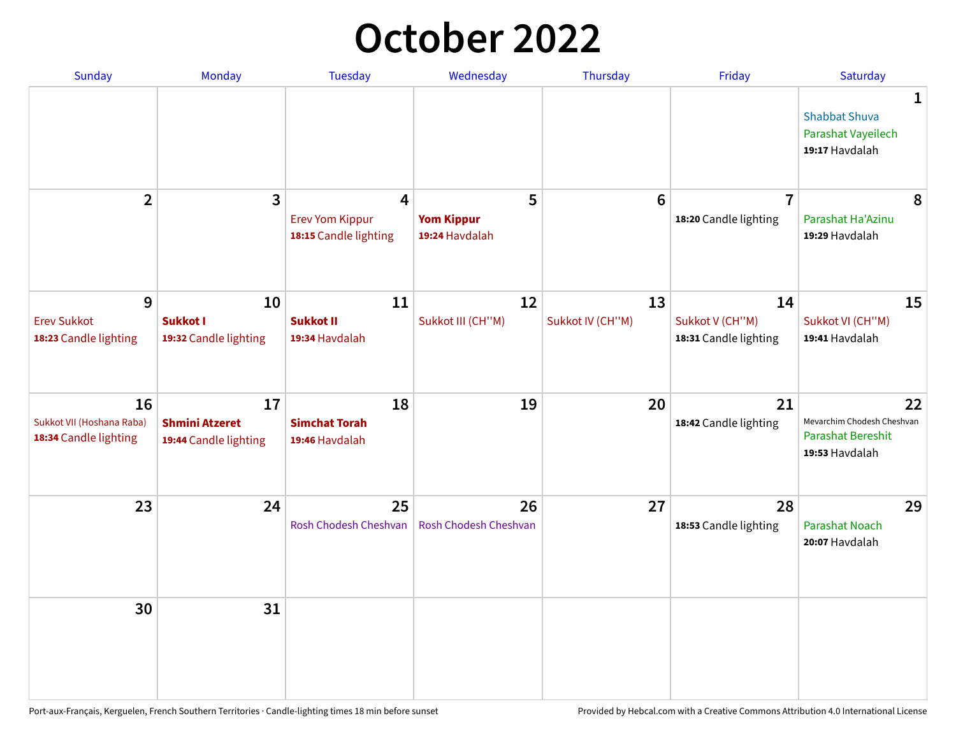## **October 2022**

| <b>Sunday</b>                                            | Monday                                               | <b>Tuesday</b>                                                             | Wednesday                                | Thursday               | Friday                                         | Saturday                                                                       |
|----------------------------------------------------------|------------------------------------------------------|----------------------------------------------------------------------------|------------------------------------------|------------------------|------------------------------------------------|--------------------------------------------------------------------------------|
|                                                          |                                                      |                                                                            |                                          |                        |                                                | 1<br><b>Shabbat Shuva</b><br>Parashat Vayeilech<br>19:17 Havdalah              |
| $\overline{2}$                                           | 3                                                    | $\overline{\mathbf{4}}$<br><b>Erev Yom Kippur</b><br>18:15 Candle lighting | 5<br><b>Yom Kippur</b><br>19:24 Havdalah | $6\phantom{1}6$        | $\overline{7}$<br>18:20 Candle lighting        | 8<br>Parashat Ha'Azinu<br>19:29 Havdalah                                       |
| 9<br><b>Erev Sukkot</b><br>18:23 Candle lighting         | 10<br>Sukkot I<br>19:32 Candle lighting              | 11<br><b>Sukkot II</b><br>19:34 Havdalah                                   | 12<br>Sukkot III (CH"M)                  | 13<br>Sukkot IV (CH"M) | 14<br>Sukkot V (CH"M)<br>18:31 Candle lighting | 15<br>Sukkot VI (CH"M)<br>19:41 Havdalah                                       |
| 16<br>Sukkot VII (Hoshana Raba)<br>18:34 Candle lighting | 17<br><b>Shmini Atzeret</b><br>19:44 Candle lighting | 18<br><b>Simchat Torah</b><br>19:46 Havdalah                               | 19                                       | 20                     | 21<br>18:42 Candle lighting                    | 22<br>Mevarchim Chodesh Cheshvan<br><b>Parashat Bereshit</b><br>19:53 Havdalah |
| 23                                                       | 24                                                   | 25<br>Rosh Chodesh Cheshvan                                                | 26<br>Rosh Chodesh Cheshvan              | 27                     | 28<br>18:53 Candle lighting                    | 29<br>Parashat Noach<br>20:07 Havdalah                                         |
| 30                                                       | 31                                                   |                                                                            |                                          |                        |                                                |                                                                                |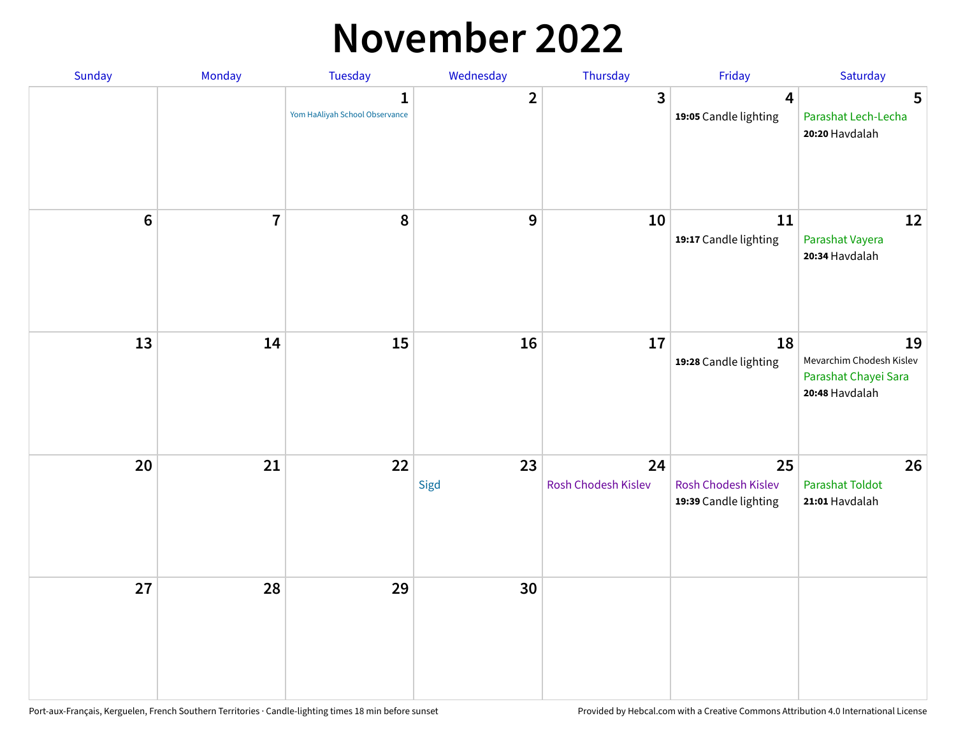#### **November 2022**

| Sunday           | Monday         | <b>Tuesday</b>                                 | Wednesday        | Thursday                  | Friday                                                    | Saturday                                                                 |
|------------------|----------------|------------------------------------------------|------------------|---------------------------|-----------------------------------------------------------|--------------------------------------------------------------------------|
|                  |                | $\mathbf{1}$<br>Yom HaAliyah School Observance | $\overline{2}$   | $\overline{3}$            | $\overline{\mathbf{4}}$<br>19:05 Candle lighting          | $5\phantom{.0}$<br>Parashat Lech-Lecha<br>20:20 Havdalah                 |
| $\boldsymbol{6}$ | $\overline{7}$ | 8                                              | $\boldsymbol{9}$ | 10                        | 11<br>19:17 Candle lighting                               | 12<br>Parashat Vayera<br>20:34 Havdalah                                  |
| 13               | 14             | 15                                             | 16               | 17                        | 18<br>19:28 Candle lighting                               | 19<br>Mevarchim Chodesh Kislev<br>Parashat Chayei Sara<br>20:48 Havdalah |
| 20               | 21             | 22                                             | 23<br>Sigd       | 24<br>Rosh Chodesh Kislev | 25<br><b>Rosh Chodesh Kislev</b><br>19:39 Candle lighting | 26<br>Parashat Toldot<br>21:01 Havdalah                                  |
| 27               | 28             | 29                                             | 30               |                           |                                                           |                                                                          |